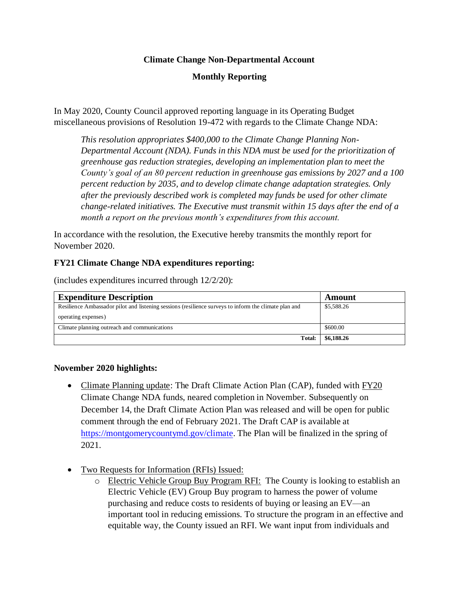## **Climate Change Non-Departmental Account**

# **Monthly Reporting**

In May 2020, County Council approved reporting language in its Operating Budget miscellaneous provisions of Resolution 19-472 with regards to the Climate Change NDA:

*This resolution appropriates \$400,000 to the Climate Change Planning Non-Departmental Account (NDA). Funds in this NDA must be used for the prioritization of greenhouse gas reduction strategies, developing an implementation plan to meet the County's goal of an 80 percent reduction in greenhouse gas emissions by 2027 and a 100 percent reduction by 2035, and to develop climate change adaptation strategies. Only after the previously described work is completed may funds be used for other climate change-related initiatives. The Executive must transmit within 15 days after the end of a month a report on the previous month's expenditures from this account.*

In accordance with the resolution, the Executive hereby transmits the monthly report for November 2020.

## **FY21 Climate Change NDA expenditures reporting:**

(includes expenditures incurred through 12/2/20):

| <b>Expenditure Description</b>                                                                        | Amount     |
|-------------------------------------------------------------------------------------------------------|------------|
| Resilience Ambassador pilot and listening sessions (resilience surveys to inform the climate plan and | \$5,588.26 |
| operating expenses)                                                                                   |            |
| Climate planning outreach and communications                                                          | \$600.00   |
| Total:                                                                                                | \$6,188.26 |

#### **November 2020 highlights:**

- Climate Planning update: The Draft Climate Action Plan (CAP), funded with  $\overline{YY20}$ Climate Change NDA funds, neared completion in November. Subsequently on December 14, the Draft Climate Action Plan was released and will be open for public comment through the end of February 2021. The Draft CAP is available at [https://montgomerycountymd.gov/climate.](https://montgomerycountymd.gov/climate) The Plan will be finalized in the spring of 2021.
- Two Requests for Information (RFIs) Issued:
	- o Electric Vehicle Group Buy Program RFI: The County is looking to establish an Electric Vehicle (EV) Group Buy program to harness the power of volume purchasing and reduce costs to residents of buying or leasing an EV—an important tool in reducing emissions. To structure the program in an effective and equitable way, the County issued an RFI. We want input from individuals and